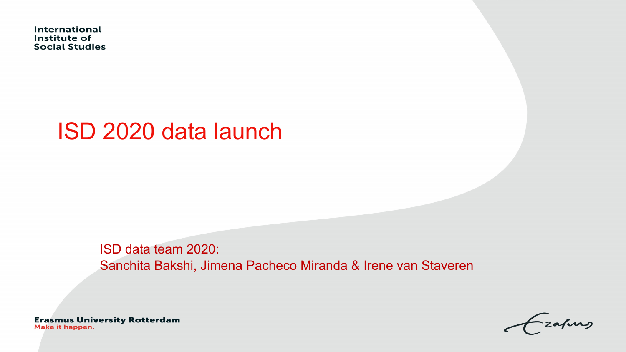International Institute of **Social Studies** 

## ISD 2020 data launch

ISD data team 2020: Sanchita Bakshi, Jimena Pacheco Miranda & Irene van Staveren

**Erasmus University Rotterdam** Make it happen.

zafung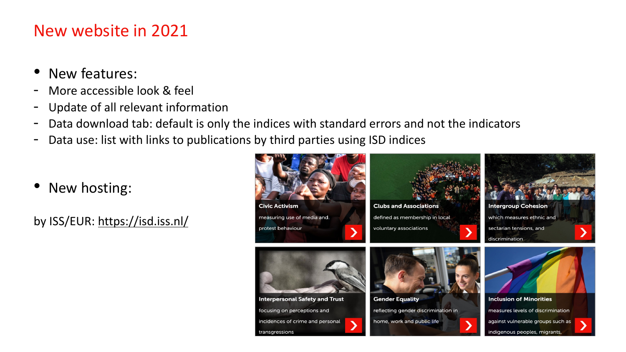## New website in 2021

- New features:
- More accessible look & feel
- Update of all relevant information
- Data download tab: default is only the indices with standard errors
- Data use: list with links to publications by third parties using ISD in
- New hosting:

by ISS/EUR: https://isd.iss.nl/



**Interpersonal Safety and Trust** 

incidences of crime and personal

focusing on perceptions and

transgressions



Clubs an

defined as voluntary a

**Gender E** reflecting home, wo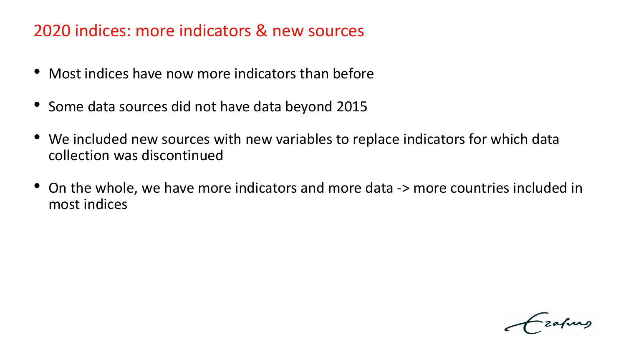## 2020 indices: more indicators & new sources

- Most indices have now more indicators than before
- Some data sources did not have data beyond 2015
- We included new sources with new variables to replace indicators for which data collection was discontinued
- On the whole, we have more indicators and more data -> more countries included in most indices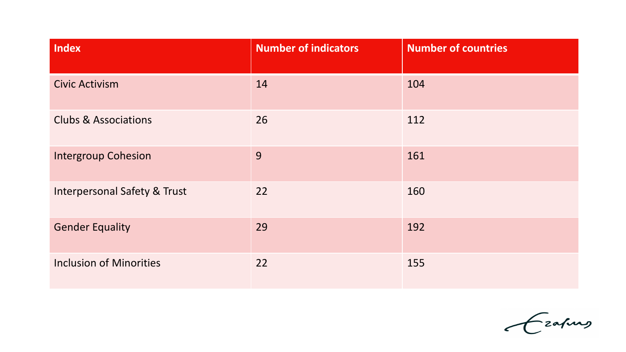| Index                                   | <b>Number of indicators</b> | <b>Number of countries</b> |
|-----------------------------------------|-----------------------------|----------------------------|
| Civic Activism                          | 14                          | 104                        |
| <b>Clubs &amp; Associations</b>         | 26                          | 112                        |
| <b>Intergroup Cohesion</b>              | 9                           | 161                        |
| <b>Interpersonal Safety &amp; Trust</b> | 22                          | 160                        |
| <b>Gender Equality</b>                  | 29                          | 192                        |
| <b>Inclusion of Minorities</b>          | 22                          | 155                        |

Grafing